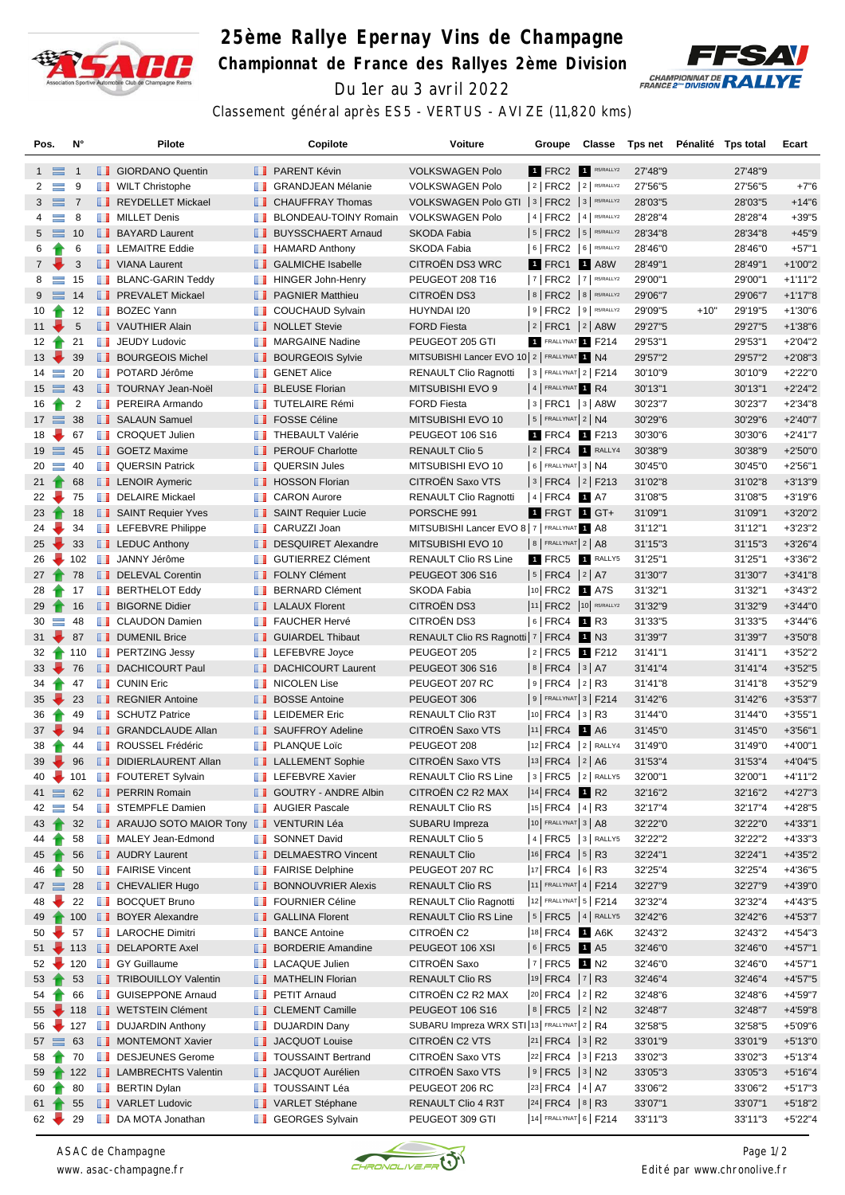

## **25ème Rallye Epernay Vins de Champagne Championnat de France des Rallyes 2ème Division** Du 1er au 3 avril 2022



Classement général après ES5 - VERTUS - AVIZE (11,820 kms)

| Pos.            |                  | N°             |                   | Pilote                                                  |               | Copilote                                      | Voiture                                        | Groupe                                        | Classe  | Tps net            |        | Pénalité Tps total | Ecart                  |
|-----------------|------------------|----------------|-------------------|---------------------------------------------------------|---------------|-----------------------------------------------|------------------------------------------------|-----------------------------------------------|---------|--------------------|--------|--------------------|------------------------|
|                 | $1 \equiv$       | -1             |                   | <b>B</b> GIORDANO Quentin                               |               | <b>B</b> PARENT Kévin                         | <b>VOLKSWAGEN Polo</b>                         | 1 FRC2 1 R5/RALLY2                            |         | 27'48"9            |        | 27'48"9            |                        |
| 2               | $\equiv$         | 9              |                   | <b>WILT Christophe</b>                                  |               | <b>T</b> GRANDJEAN Mélanie                    | <b>VOLKSWAGEN Polo</b>                         | $ 2 $ FRC2 $ 2 $ R5/RALLY2                    |         | 27'56"5            |        | 27'56"5            | $+7"6$                 |
| 3               | $\equiv$ 7       |                |                   | REYDELLET Mickael                                       |               | <b>CHAUFFRAY Thomas</b>                       | VOLKSWAGEN Polo GTI   3   FRC2   3   R5/RALLY2 |                                               |         | 28'03"5            |        | 28'03"5            | $+14"6$                |
| 4               | $\equiv$         | 8              | n n               | <b>MILLET Denis</b>                                     | ш             | <b>BLONDEAU-TOINY Romain</b>                  | <b>VOLKSWAGEN Polo</b>                         | $ 4 $ FRC2 $ 4 $ R5/RALLY2                    |         | 28'28"4            |        | 28'28"4            | $+39"5$                |
|                 | $5 \equiv 10$    |                |                   | <b>BAYARD Laurent</b>                                   |               | <b>BUYSSCHAERT Arnaud</b>                     | <b>SKODA Fabia</b>                             | $ 5 $ FRC2 $ 5 $ R5/RALLY2                    |         | 28'34"8            |        | 28'34"8            | $+45"9$                |
| 6               |                  | 6              |                   | <b>EXEMPLEMAITRE Eddie</b>                              |               | $\blacksquare$ HAMARD Anthony                 | SKODA Fabia                                    | 6   FRC2   6   R5/RALLY2                      |         | 28'46"0            |        | 28'46"0            | $+57"1$                |
| $7^{\circ}$     |                  | 3              |                   | VIANA Laurent                                           |               | <b>B</b> GALMICHE Isabelle                    | <b>CITROEN DS3 WRC</b>                         | 1 FRC1                                        | $1$ A8W | 28'49"1            |        | 28'49"1            | $+1'00"2$              |
| 8               | $\equiv$         | 15             |                   | <b>BLANC-GARIN Teddy</b>                                | a se          | <b>HINGER John-Henry</b>                      | PEUGEOT 208 T16                                | 7   FRC2   7   R5/RALLY2                      |         | 29'00"1            |        | 29'00"1            | $+1'11''2$             |
| 9               |                  | 14             |                   | <b>FREVALET Mickael</b>                                 |               | <b>PAGNIER Matthieu</b>                       | CITROËN DS3                                    | $8$ FRC2 $8$ R5/RALLY2                        |         | 29'06"7            |        | 29'06"7            | $+1'17"8$              |
| 10              | Ħ                | 12             | <b>The Second</b> | <b>BOZEC Yann</b>                                       | m             | <b>COUCHAUD Sylvain</b>                       | HUYNDAI I20                                    | $ 9 $ FRC2 $ 9 $ R5/RALLY2                    |         | 29'09"5            | $+10"$ | 29'19"5            | $+1'30''6$             |
| 11              |                  | 5              |                   | VAUTHIER Alain                                          |               | <b>NOLLET</b> Stevie                          | <b>FORD Fiesta</b>                             | $ 2 $ FRC1 $ 2 $ A8W                          |         | 29'27"5            |        | 29'27"5            | $+1'38"6$              |
|                 | $12 \rightarrow$ | 21             |                   | <b>JEUDY Ludovic</b>                                    |               | <b>NARGAINE Nadine</b>                        | PEUGEOT 205 GTI                                | 1 FRALLYNAT 1 F214                            |         | 29'53"1            |        | 29'53"1            | $+2'04"2$              |
| 13 <sup>2</sup> |                  | 39             |                   | <b>BOURGEOIS Michel</b>                                 |               | <b>BOURGEOIS Sylvie</b>                       | MITSUBISHI Lancer EVO 10 2   FRALLYNAT 1 N4    |                                               |         | 29'57"2            |        | 29'57"2            | $+2'08"3$              |
|                 | $14 \equiv$      | 20             |                   | <b>DE POTARD Jérôme</b>                                 |               | <b>B</b> GENET Alice                          | <b>RENAULT Clio Ragnotti</b>                   | $ 3 $ FRALLYNAT $ 2 $ F214                    |         | 30'10"9            |        | 30'10"9            | $+2'22"0$              |
|                 | $15 \equiv$      | 43             |                   | <b>TOURNAY Jean-Noël</b>                                |               | <b>BLEUSE Florian</b>                         | MITSUBISHI EVO 9                               | 4 FRALLYNAT 1 R4                              |         | 30'13"1            |        | 30'13"1            | $+2'24"2$              |
| 16              | 令                | $\overline{2}$ | ш                 | PEREIRA Armando                                         | <b>The Co</b> | <b>TUTELAIRE Rémi</b>                         | <b>FORD Fiesta</b>                             | $ 3 $ FRC1 $ 3 $ A8W                          |         | 30'23"7            |        | 30'23"7            | $+2'34''8$             |
|                 | $17 \equiv$      | 38             |                   | <b>B</b> SALAUN Samuel                                  |               | <b>FOSSE Céline</b>                           | MITSUBISHI EVO 10                              | $ 5 $ FRALLYNAT $2 N4$                        |         | 30'29"6            |        | 30'29"6            | $+2'40''7$             |
| 18              |                  | 67             |                   | <b>CROQUET Julien</b>                                   |               | <b>THEBAULT Valérie</b>                       | <b>PEUGEOT 106 S16</b>                         | 1 FRC4 1 F213                                 |         | 30'30"6            |        | 30'30"6            | $+2'41''7$             |
|                 | $19$ $\equiv$    | 45             |                   | <b>B</b> GOETZ Maxime                                   |               | <b>F</b> PEROUF Charlotte                     | <b>RENAULT Clio 5</b>                          | 2 FRC4 1 RALLY4                               |         | 30'38"9            |        | 30'38"9            | $+2'50"0$              |
|                 | $20 =$           | 40             |                   | <b>QUERSIN Patrick</b>                                  |               | <b>QUERSIN Jules</b>                          | MITSUBISHI EVO 10                              | $6$ FRALLYNAT 3 N4                            |         | 30'45"0            |        | 30'45"0            | $+2'56''1$             |
|                 | $21 \t{}$        | 68             |                   | <b>EXAMPLE ADDR</b> Aymeric                             |               | <b>T</b> HOSSON Florian                       | CITROËN Saxo VTS                               | $ 3 $ FRC4 $ 2 $ F213                         |         | 31'02"8            |        | 31'02"8            | $+3'13''9$             |
| 22              |                  | 75             | m                 | <b>DELAIRE Mickael</b>                                  | ш             | <b>CARON Aurore</b>                           | <b>RENAULT Clio Ragnotti</b>                   | $ 4 $ FRC4 1 A7                               |         | 31'08"5            |        | 31'08"5            | $+3'19''6$             |
| 23              |                  | 18             |                   | SAINT Requier Yves                                      |               | SAINT Requier Lucie                           | PORSCHE 991                                    | 1 FRGT 1 GT+                                  |         | 31'09"1            |        | 31'09"1            | $+3'20"2$              |
| 24              |                  | 34             |                   | <b>EXECUTE:</b> LEFEBVRE Philippe                       |               | <b>CARUZZI Joan</b>                           | MITSUBISHI Lancer EVO 8   7   FRALLYNAT 1 A8   |                                               |         | 31'12"1            |        | 31'12"1            | $+3'23''2$             |
| 25              |                  | 33             |                   | <b>LEDUC Anthony</b>                                    |               | DESQUIRET Alexandre                           | MITSUBISHI EVO 10                              | $8$ FRALLYNAT $2$ A8                          |         | 31'15"3            |        | 31'15"3            | $+3'26''4$             |
| 26              | ₩                | 102            |                   | <b>BE JANNY Jérôme</b>                                  |               | GUTIERREZ Clément                             | RENAULT Clio RS Line                           | 1 FRC5 1 RALLY5                               |         | 31'25"1            |        | 31'25"1            | $+3'36''2$             |
|                 | $27 \t{}$        | 78             |                   | DELEVAL Corentin                                        |               | <b>FOLNY Clément</b>                          | PEUGEOT 306 S16                                | $ 5 $ FRC4 $ 2 $ A7                           |         | 31'30"7            |        | 31'30"7            | $+3'41''8$             |
| 28              |                  | 17             |                   | <b>BERTHELOT Eddy</b>                                   |               | <b>BERNARD Clément</b>                        | SKODA Fabia                                    | 10 FRC2 1 A7S                                 |         | 31'32"1            |        | 31'32"1            | $+3'43''2$             |
| 29              |                  | 16             |                   | <b>BIGORNE Didier</b>                                   |               | <b>LALAUX Florent</b>                         | CITROËN DS3                                    | 11 FRC2 10 R5/RALLY2                          |         | 31'32"9            |        | 31'32"9            | $+3'44"0$              |
| 30              | ÷.               | 48             |                   | <b>CLAUDON Damien</b>                                   |               | <b>FAUCHER Hervé</b>                          | <b>CITROEN DS3</b>                             | 6 FRC4 1 R3                                   |         | 31'33"5            |        | 31'33"5            | $+3'44''6$             |
| 31              |                  | 87             |                   | DUMENIL Brice                                           |               | GUIARDEL Thibaut                              | RENAULT Clio RS Ragnotti   7   FRC4   1   N3   |                                               |         | 31'39"7            |        | 31'39"7            | $+3'50"8$              |
| 32              | $\blacksquare$   | 110            |                   | <b>FRITZING Jessy</b>                                   |               | <b>LEFEBVRE</b> Joyce                         | PEUGEOT 205                                    | $ 2 $ FRC5 1 F212                             |         | 31'41"1            |        | 31'41"1            | $+3'52"2$              |
|                 | $33 -$           | 76             |                   | <b>DACHICOURT Paul</b>                                  |               | <b>DACHICOURT Laurent</b>                     | PEUGEOT 306 S16                                | $ 8 $ FRC4 $ 3 $ A7                           |         | 31'41"4            |        | 31'41"4            | $+3'52"5$              |
| 34              |                  | 47             |                   | <b>T</b> CUNIN Eric                                     |               | <b>NICOLEN Lise</b>                           | PEUGEOT 207 RC                                 | $ 9 $ FRC4 $ 2 $ R3                           |         | 31'41"8            |        | 31'41"8            | $+3'52''9$             |
| 35 <sup>5</sup> |                  | 23             |                   | REGNIER Antoine                                         |               | <b>BOSSE Antoine</b>                          | PEUGEOT 306                                    | $9$ FRALLYNAT $3$ F214                        |         | 31'42"6            |        | 31'42"6            | $+3'53''7$             |
| 36              |                  | 49             | ш                 | <b>SCHUTZ Patrice</b>                                   | <b>The Co</b> | <b>LEIDEMER Eric</b>                          | RENAULT Clio R3T                               | $ 10 $ FRC4 $ 3 $ R3                          |         | 31'44"0            |        | 31'44"0            | $+3'55"1$              |
|                 | $37 -$           | 94             |                   | <b>GRANDCLAUDE Allan</b>                                |               | SAUFFROY Adeline                              | CITROËN Saxo VTS                               | $ 11 $ FRC4                                   | 1 A6    | 31'45"0            |        | 31'45"0            | $+3'56''1$             |
| 38              |                  | 44             | m                 | ROUSSEL Frédéric                                        |               | <b>PLANQUE Loïc</b>                           | PEUGEOT 208                                    | $ 12 $ FRC4 $ 2 $ RALLY4                      |         | 31'49"0            |        | 31'49"0            | $+4'00"1$              |
| 39              | ₩                | 96             |                   | DIDIERLAURENT Allan                                     |               | <b>LALLEMENT Sophie</b>                       | CITROËN Saxo VTS                               | 13 FRC4 2 A6                                  |         | 31'53"4            |        | 31'53"4            | $+4'04"5$              |
| 40              |                  | 101            |                   | <b>FOUTERET Sylvain</b>                                 |               | <b>EXECUTE:</b> LEFEBVRE Xavier               | <b>RENAULT Clio RS Line</b>                    | $ 3 $ FRC5 $ 2 $ RALLY5                       |         | 32'00"1            |        | 32'00"1            | +4'11"2                |
|                 | $41 \equiv 62$   |                |                   | <b>FRE</b> PERRIN Romain                                |               | <b>GOUTRY - ANDRE Albin</b>                   | CITROËN C2 R2 MAX                              | $ 14 $ FRC4 1 R2                              |         | 32'16"2            |        | 32'16"2            | $+4'27''3$             |
|                 | $42 \equiv 54$   |                |                   | <b>STEMPFLE Damien</b>                                  |               | <b>NAUGIER Pascale</b>                        | RENAULT Clio RS                                | $ 15 $ FRC4 $ 4 $ R3                          |         | 32'17"4            |        | 32'17"4            | $+4'28"5$              |
|                 | $43 \text{ T}$   | 32             |                   | ARAUJO SOTO MAIOR Tony VENTURIN Léa                     |               |                                               | SUBARU Impreza                                 | $ 10 $ FRALLYNAT 3   A8                       |         | 32'22"0            |        | 32'22"0            | $+4'33"1$              |
| 44              |                  | 58             |                   | MALEY Jean-Edmond                                       |               | SONNET David                                  | <b>RENAULT Clio 5</b>                          | $ 4 $ FRC5 $ 3 $ RALLY5                       |         | 32'22"2            |        | 32'22"2            | $+4'33''3$             |
| 45              |                  | 56             |                   | <b>NUDRY Laurent</b>                                    |               | DELMAESTRO Vincent                            | <b>RENAULT Clio</b>                            | $ 16 $ FRC4 $ 5 $ R3                          |         | 32'24"1            |        | 32'24"1            | $+4'35''2$             |
| 46              |                  | 50             |                   | <b>FAIRISE Vincent</b>                                  |               | <b>FAIRISE Delphine</b>                       | PEUGEOT 207 RC                                 | $ 17 $ FRC4 $ 6 $ R3                          |         | 32'25"4            |        | 32'25"4            | +4'36"5                |
|                 | $47 \equiv$      | 28             |                   | <b>CHEVALIER Hugo</b>                                   |               | <b>BONNOUVRIER Alexis</b>                     | <b>RENAULT Clio RS</b>                         | 11 FRALLYNAT 4   F214                         |         | 32'27"9            |        | 32'27"9            | $+4'39"0$              |
| 48              |                  | 22             |                   | <b>BOCQUET Bruno</b>                                    |               | <b>FOURNIER Céline</b>                        | RENAULT Clio Ragnotti                          | 12 FRALLYNAT 5   F214                         |         | 32'32"4            |        | 32'32"4            | $+4'43''5$             |
| 49              | $\blacksquare$   | 100            |                   | <b>BOYER Alexandre</b>                                  |               | <b>B</b> GALLINA Florent                      | <b>RENAULT Clio RS Line</b>                    | $ 5 $ FRC5 $ 4 $ RALLY5                       |         | 32'42"6            |        | 32'42"6            | $+4'53''7$             |
| 50              |                  | 57             |                   | <b>LAROCHE Dimitri</b>                                  | ш             | <b>BANCE Antoine</b>                          | CITROËN C2                                     | 18 FRC4 1 A6K                                 |         | 32'43"2            |        | 32'43"2            | $+4'54"3$              |
| 51              |                  | $\div$ 113     |                   | DELAPORTE Axel                                          |               | <b>BORDERIE Amandine</b>                      | PEUGEOT 106 XSI                                | $ 6 $ FRC5 1 A5                               |         | 32'46"0            |        | 32'46"0            | $+4'57"1$              |
|                 | $52 -$           | 120            |                   | <b>B</b> GY Guillaume                                   |               | <b>LACAQUE Julien</b>                         | CITROËN Saxo                                   | $ 7 $ FRC5 1 N2                               |         | 32'46"0            |        | 32'46"0            | $+4'57"1$              |
|                 |                  |                |                   |                                                         |               |                                               |                                                | $ 19 $ FRC4 $ 7 $ R3                          |         |                    |        |                    |                        |
| 53<br>54        |                  | 53<br>66       |                   | <b>TRIBOUILLOY Valentin</b><br><b>SUISEPPONE Arnaud</b> |               | MATHELIN Florian<br><b>PETIT Arnaud</b>       | <b>RENAULT Clio RS</b><br>CITROËN C2 R2 MAX    | $ 20 $ FRC4 $ 2 $ R2                          |         | 32'46"4<br>32'48"6 |        | 32'46"4<br>32'48"6 | $+4'57"5$<br>+4'59"7   |
|                 |                  |                |                   | 55 118 <b>WETSTEIN Clément</b>                          |               | CLEMENT Camille                               | PEUGEOT 106 S16                                | $ 8 $ FRC5 $ 2 $ N2                           |         | 32'48"7            |        | 32'48"7            | $+4'59''8$             |
|                 | a.               |                |                   |                                                         |               |                                               | SUBARU Impreza WRX STI 13 FRALLYNAT 2   R4     |                                               |         |                    |        |                    |                        |
| 56              | $57 \equiv 63$   | 127            |                   | <b>DUJARDIN Anthony</b><br>MONTEMONT Xavier             |               | <b>DUJARDIN Dany</b><br><b>JACQUOT Louise</b> | CITROËN C2 VTS                                 | $ 21 $ FRC4 $ 3 $ R2                          |         | 32'58"5<br>33'01"9 |        | 32'58"5<br>33'01"9 | $+5'09"6$<br>$+5'13"0$ |
|                 |                  |                |                   | DESJEUNES Gerome                                        |               | <b>TOUSSAINT Bertrand</b>                     | CITROËN Saxo VTS                               |                                               |         |                    |        | 33'02"3            | $+5'13''4$             |
| 58              |                  | 70<br>122      |                   | <b>EXECUTE LAMBRECHTS Valentin</b>                      |               | JACQUOT Aurélien                              | <b>CITROEN Saxo VTS</b>                        | $ 22 $ FRC4 $ 3 $ F213<br>$ 9 $ FRC5 $ 3 $ N2 |         | 33'02"3            |        | 33'05"3            | $+5'16''4$             |
| 59<br>60        |                  | 80             |                   | <b>BERTIN Dylan</b>                                     |               | <b>TE TOUSSAINT Léa</b>                       | PEUGEOT 206 RC                                 | $ 23 $ FRC4 $ 4 $ A7                          |         | 33'05"3<br>33'06"2 |        | 33'06"2            | $+5'17''3$             |
|                 |                  |                |                   | VARLET Ludovic                                          |               |                                               |                                                | $ 24 $ FRC4 $ 8 $ R3                          |         | 33'07"1            |        | 33'07"1            |                        |
|                 | $61 \t{ }$       | 55             |                   |                                                         |               | VARLET Stéphane                               | RENAULT Clio 4 R3T                             | 14 FRALLYNAT 6   F214                         |         |                    |        |                    | $+5'18''2$             |
| $62 \sqrt{ }$   |                  | 29             |                   | DA MOTA Jonathan                                        |               | <b>B</b> GEORGES Sylvain                      | PEUGEOT 309 GTI                                |                                               |         | 33'11"3            |        | 33'11"3            | $+5'22"4$              |